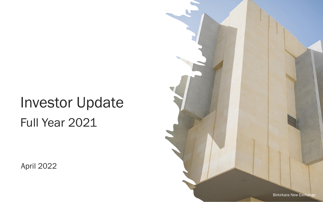# Investor Update Full Year 2021

April 2022

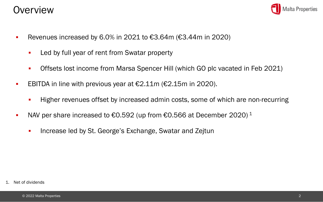### **Overview**



- Revenues increased by 6.0% in 2021 to  $€3.64$ m ( $€3.44$ m in 2020)
	- Led by full year of rent from Swatar property
	- Offsets lost income from Marsa Spencer Hill (which GO plc vacated in Feb 2021)
- EBITDA in line with previous year at  $€2.11m$  ( $€2.15m$  in 2020).
	- **EXECT** Higher revenues offset by increased admin costs, some of which are non-recurring
- NAV per share increased to  $€0.592$  (up from  $€0.566$  at December 2020)<sup>1</sup>
	- **EXEDENSION Increase led by St. George's Exchange, Swatar and Zejtun**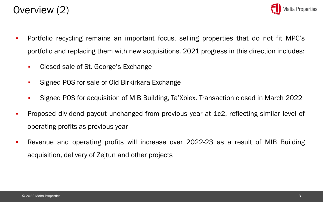



- Portfolio recycling remains an important focus, selling properties that do not fit MPC's portfolio and replacing them with new acquisitions. 2021 progress in this direction includes:
	- Closed sale of St. George's Exchange
	- **Signed POS for sale of Old Birkirkara Exchange**
	- Signed POS for acquisition of MIB Building, Ta'Xbiex. Transaction closed in March 2022
- Proposed dividend payout unchanged from previous year at 1c2, reflecting similar level of operating profits as previous year
- Revenue and operating profits will increase over 2022-23 as a result of MIB Building acquisition, delivery of Zejtun and other projects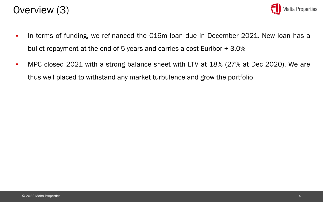



- In terms of funding, we refinanced the €16m loan due in December 2021. New loan has a bullet repayment at the end of 5-years and carries a cost Euribor + 3.0%
- MPC closed 2021 with a strong balance sheet with LTV at 18% (27% at Dec 2020). We are thus well placed to withstand any market turbulence and grow the portfolio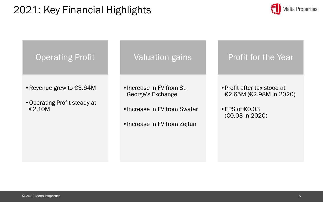# 2021: Key Financial Highlights



### Operating Profit

- •Revenue grew to €3.64M
- •Operating Profit steady at €2.10M

Valuation gains

t.<br>Dividende i <sup>d</sup>ividende i serie e serie dividende a la serie dividende a la serie di serie di serie di serie di •Increase in FV from St. George's Exchange

- $1$ •Increase in FV from Swatar
- •Increase in FV from Zejtun

### Profit for the Year

•Profit after tax stood at €2.65M (€2.98M in 2020)

 $\cdot$  FPS of  $\epsilon$ 0.03 (€0.03 in 2020)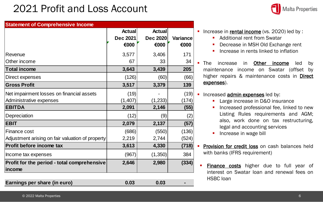## 2021 Profit and Loss Account



| <b>Statement of Comprehensive Income</b>              |                 |                 |                 |  |  |
|-------------------------------------------------------|-----------------|-----------------|-----------------|--|--|
|                                                       | Actual          | <b>Actual</b>   |                 |  |  |
|                                                       | <b>Dec 2021</b> | <b>Dec 2020</b> | <b>Variance</b> |  |  |
|                                                       | €000            | €000            | €000            |  |  |
| Revenue                                               | 3,577           | 3,406           | 171             |  |  |
| Other income                                          | 67              | 33              | 34              |  |  |
| <b>Total income</b>                                   | 3,643           | 3,439           | 205             |  |  |
| Direct expenses                                       | (126)           | (60)            | (66)            |  |  |
| <b>Gross Profit</b>                                   | 3,517           | 3,379           | 139             |  |  |
| Net impairment losses on financial assets             | (19)            |                 | (19)            |  |  |
| Administrative expenses                               | (1, 407)        | (1,233)         | (174)           |  |  |
| <b>EBITDA</b>                                         | 2,091           | 2,146           | (55)            |  |  |
| Depreciation                                          | (12)            | (9)             | (2)             |  |  |
| <b>EBIT</b>                                           | 2,079           | 2,137           | (57)            |  |  |
| Finance cost                                          | (686)           | (550)           | (136)           |  |  |
| Adjustment arising on fair valuation of property      | 2,219           | 2,744           | (524)           |  |  |
| Profit before income tax                              | 3,613           | 4,330           | (718)           |  |  |
| Income tax expenses                                   | (967)           | (1,350)         | 384             |  |  |
| Profit for the period - total comprehensive<br>income | 2,646           | 2,980           | (334)           |  |  |

**Earnings per share (in euro)** 0.03 0.03 0.03

- Additional rent from Swatar
- Decrease in MSH Old Exchange rent
- **•** Increase in rents linked to inflation

The increase in Other income led by maintenance income on Swatar (offset by higher repairs & maintenance costs in **Direct** expenses).

#### **·** Increased **admin expenses** led by:

- Large increase in D&O insurance
- **·** Increased professional fee, linked to new Listing Rules requirements and AGM; also, work done on tax restructuring, legal and accounting services
- **·** Increase in wage bill
- **Provision for credit loss on cash balances held** with banks (IFRS requirement)
- **Einance costs** higher due to full year of interest on Swatar loan and renewal fees on HSBC loan

<sup>■</sup> Increase in rental income (vs. 2020) led by :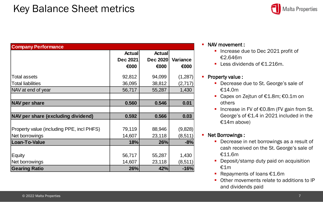### Key Balance Sheet metrics



| <b>Company Performance</b>                |                 |                 |          |
|-------------------------------------------|-----------------|-----------------|----------|
|                                           | <b>Actual</b>   | <b>Actual</b>   |          |
|                                           | <b>Dec 2021</b> | <b>Dec 2020</b> | Variance |
|                                           | €000            | €000            | €000     |
| <b>Total assets</b>                       | 92,812          | 94,099          | (1, 287) |
| <b>Total liabilities</b>                  | 36,095          | 38,812          | (2,717)  |
| NAV at end of year                        | 56,717          | 55,287          | 1,430    |
|                                           |                 |                 |          |
| <b>NAV per share</b>                      | 0.560           | 0.546           | 0.01     |
|                                           |                 |                 |          |
| NAV per share (excluding dividend)        | 0.592           | 0.566           | 0.03     |
|                                           |                 |                 |          |
| Property value (including PPE, incl PHFS) | 79,119          | 88,946          | (9,828)  |
| Net borrowings                            | 14,607          | 23,118          | (8, 511) |
| <b>Loan-To-Value</b>                      | 18%             | 26%             | $-8%$    |
|                                           |                 |                 |          |
| Equity                                    | 56,717          | 55,287          | 1,430    |
| Net borrowings                            | 14,607          | 23,118          | (8, 511) |
| <b>Gearing Ratio</b>                      | 26%             | 42%             | $-16%$   |

#### ▪ NAV movement :

- Increase due to Dec 2021 profit of €2.646m
- Less dividends of €1.216m.

#### **• Property value :**

- Decrease due to St. George's sale of €14.0m
- Capex on Zejtun of €1.8m; €0.1m on others
- Increase in FV of €0.8m (FV gain from St. George's of €1.4 in 2021 included in the €14m above)

#### ▪ Net Borrowings :

- **Decrease in net borrowings as a result of** cash received on the St. George's sale of €11.6m
- **Deposit/stamp duty paid on acquisition** €1m
- Repayments of loans  $E1.6m$
- Other movements relate to additions to IP and dividends paid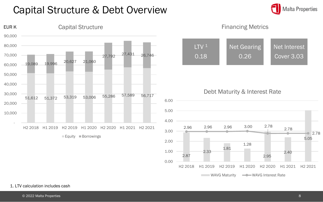### Capital Structure & Debt Overview



Financing Metrics



Debt Maturity & Interest Rate



1. LTV calculation includes cash

**Malta Properties**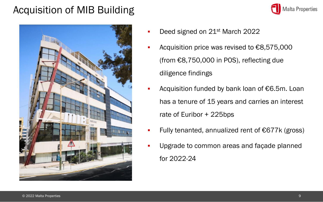## Acquisition of MIB Building





- Deed signed on 21<sup>st</sup> March 2022
- Acquisition price was revised to  $\epsilon$ 8,575,000 (from €8,750,000 in POS), reflecting due diligence findings
- Acquisition funded by bank loan of  $€6.5m$ . Loan has a tenure of 15 years and carries an interest rate of Euribor + 225bps
- Fully tenanted, annualized rent of €677 $k$  (gross)
- Upgrade to common areas and façade planned for 2022-24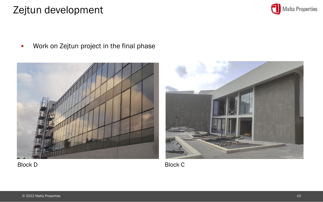### Zejtun development



**•** Work on Zejtun project in the final phase





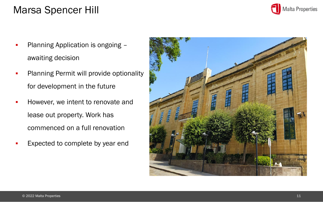## Marsa Spencer Hill

- Planning Application is ongoing awaiting decision
- Planning Permit will provide optionality for development in the future
- However, we intent to renovate and lease out property. Work has commenced on a full renovation
- Expected to complete by year end



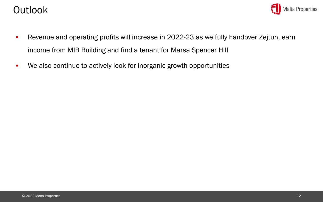### Outlook



- **EXECT** Revenue and operating profits will increase in 2022-23 as we fully handover Zejtun, earn income from MIB Building and find a tenant for Marsa Spencer Hill
- We also continue to actively look for inorganic growth opportunities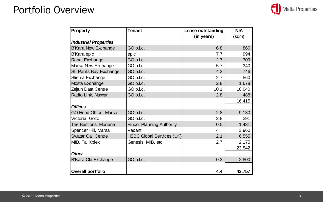### Portfolio Overview

|  |  | Malta Properties |
|--|--|------------------|
|--|--|------------------|

| Property                     | <b>Tenant</b>                    | Lease outstanding | <b>NIA</b> |
|------------------------------|----------------------------------|-------------------|------------|
| <b>Industrial Properties</b> |                                  | (in years)        | (sqm)      |
| <b>B'Kara New Exchange</b>   | GO p.l.c.                        | 6.8               | 860        |
| B'Kara epic                  | epic                             | 7.7               | 994        |
| Rabat Exchange               | GO p.l.c.                        | 2.7               | 709        |
| Marsa New Exchange           | GO p.l.c.                        | 5.7               | 340        |
| St. Paul's Bay Exchange      | GO p.l.c.                        | 4.3               | 746        |
| Sliema Exchange              | GO p.l.c.                        | 2.7               | 560        |
| Mosta Exchange               | GO p.l.c.                        | 2.8               | 1,678      |
| Zejtun Data Centre           | GO p.l.c.                        | 10.1              | 10,040     |
| Radio Link, Naxxar           | GO p.l.c.                        | 2.8               | 488        |
|                              |                                  |                   | 16,415     |
| <b>Offices</b>               |                                  |                   |            |
| GO Head Office, Marsa        | GO p.l.c.                        | 2.8               | 9,130      |
| Victoria, Gozo               | GO p.l.c.                        | 2.8               | 291        |
| The Bastions, Floriana       | Finco, Planning Authority        | 0.5               | 1,431      |
| Spencer Hill, Marsa          | Vacant                           |                   | 3,960      |
| <b>Swatar Call Centre</b>    | <b>HSBC Global Services (UK)</b> | 2.1               | 6,555      |
| MIB, Ta' Xbiex               | Genesis, MIB, etc.               | 2.7               | 2,175      |
|                              |                                  |                   | 23,542     |
| <b>Other</b>                 |                                  |                   |            |
| B'Kara Old Exchange          | GO p.l.c.                        | 0.3               | 2,800      |
|                              |                                  |                   |            |
| Overall portfolio            |                                  | 4.4               | 42,757     |